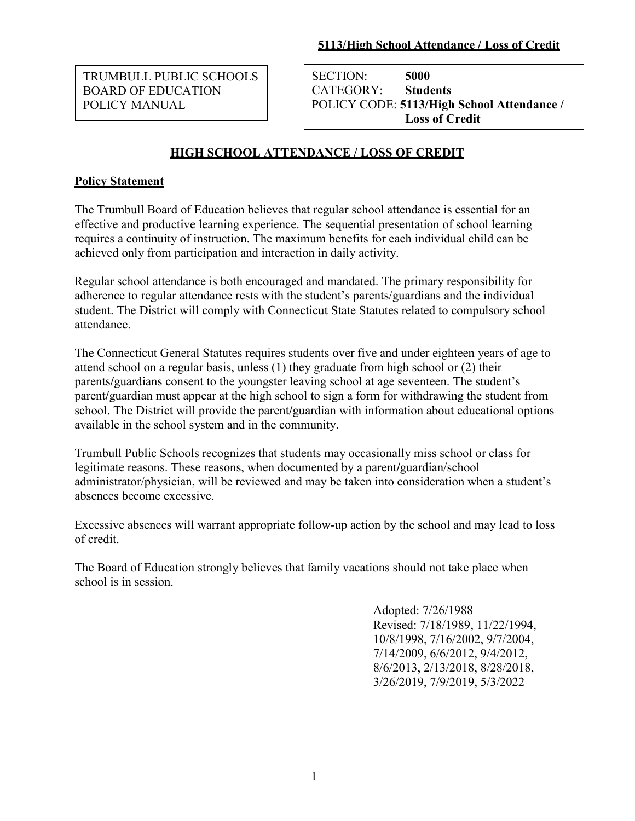TRUMBULL PUBLIC SCHOOLS BOARD OF EDUCATION POLICY MANUAL

SECTION: **5000** CATEGORY: **Students** POLICY CODE: **5113/High School Attendance / Loss of Credit**

# **HIGH SCHOOL ATTENDANCE / LOSS OF CREDIT**

## **Policy Statement**

The Trumbull Board of Education believes that regular school attendance is essential for an effective and productive learning experience. The sequential presentation of school learning requires a continuity of instruction. The maximum benefits for each individual child can be achieved only from participation and interaction in daily activity.

Regular school attendance is both encouraged and mandated. The primary responsibility for adherence to regular attendance rests with the student's parents/guardians and the individual student. The District will comply with Connecticut State Statutes related to compulsory school attendance.

The Connecticut General Statutes requires students over five and under eighteen years of age to attend school on a regular basis, unless (1) they graduate from high school or (2) their parents**/**guardians consent to the youngster leaving school at age seventeen. The student's parent**/**guardian must appear at the high school to sign a form for withdrawing the student from school. The District will provide the parent**/**guardian with information about educational options available in the school system and in the community.

Trumbull Public Schools recognizes that students may occasionally miss school or class for legitimate reasons. These reasons, when documented by a parent**/**guardian/school administrator/physician, will be reviewed and may be taken into consideration when a student's absences become excessive.

Excessive absences will warrant appropriate follow-up action by the school and may lead to loss of credit.

The Board of Education strongly believes that family vacations should not take place when school is in session.

> Adopted: 7/26/1988 Revised: 7/18/1989, 11/22/1994, 10/8/1998, 7/16/2002, 9/7/2004, 7/14/2009, 6/6/2012, 9/4/2012, 8/6/2013, 2/13/2018, 8/28/2018, 3/26/2019, 7/9/2019, 5/3/2022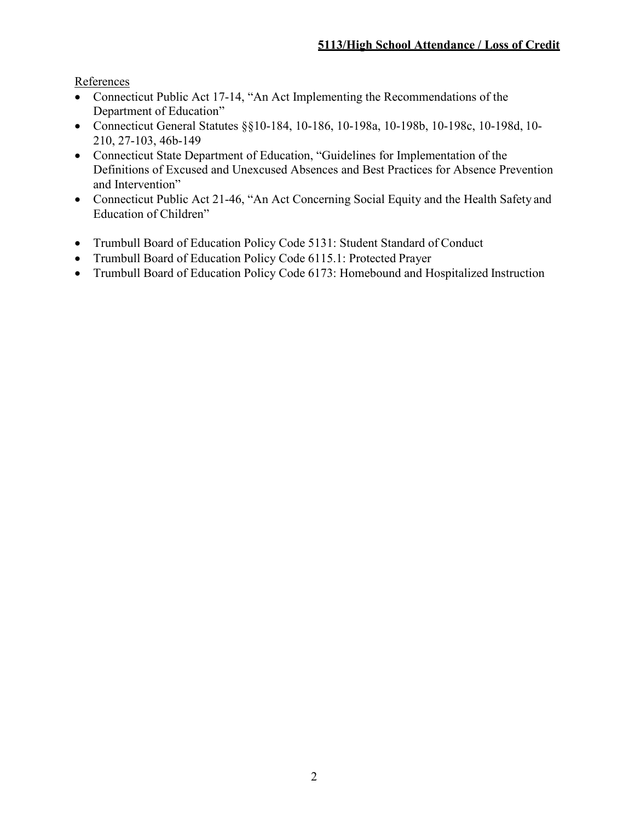References

- Connecticut Public Act 17-14, "An Act Implementing the Recommendations of the Department of Education"
- Connecticut General Statutes §§10-184, 10-186, 10-198a, 10-198b, 10-198c, 10-198d, 10- 210, 27-103, 46b-149
- Connecticut State Department of Education, "Guidelines for Implementation of the Definitions of Excused and Unexcused Absences and Best Practices for Absence Prevention and Intervention"
- Connecticut Public Act 21-46, "An Act Concerning Social Equity and the Health Safety and Education of Children"
- Trumbull Board of Education Policy Code 5131: Student Standard of Conduct
- Trumbull Board of Education Policy Code 6115.1: Protected Prayer
- Trumbull Board of Education Policy Code 6173: Homebound and Hospitalized Instruction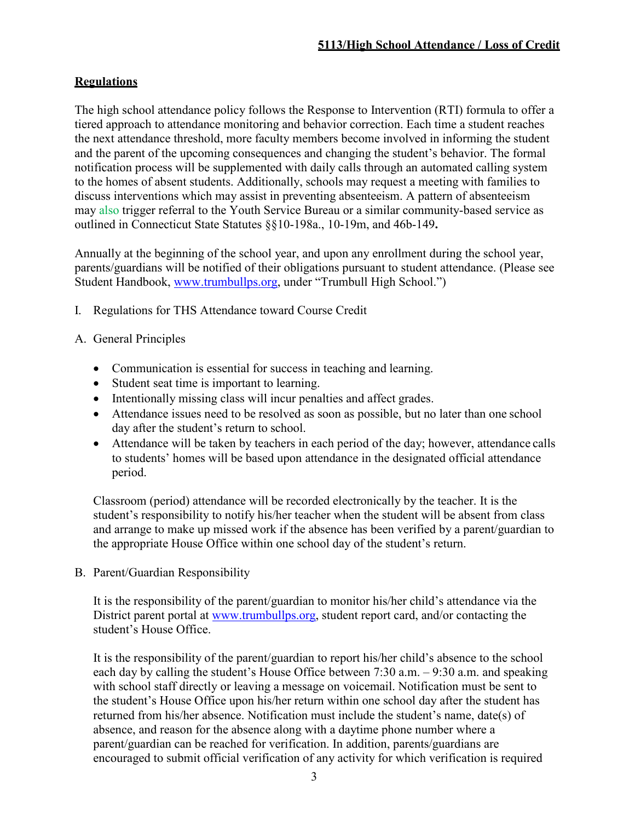### **Regulations**

The high school attendance policy follows the Response to Intervention (RTI) formula to offer a tiered approach to attendance monitoring and behavior correction. Each time a student reaches the next attendance threshold, more faculty members become involved in informing the student and the parent of the upcoming consequences and changing the student's behavior. The formal notification process will be supplemented with daily calls through an automated calling system to the homes of absent students. Additionally, schools may request a meeting with families to discuss interventions which may assist in preventing absenteeism. A pattern of absenteeism may also trigger referral to the Youth Service Bureau or a similar community-based service as outlined in Connecticut State Statutes §§10-198a., 10-19m, and 46b-149**.**

Annually at the beginning of the school year, and upon any enrollment during the school year, parents/guardians will be notified of their obligations pursuant to student attendance. (Please see Student Handbook, [www.trumbullps.org,](http://www.trumbullps.org/) under "Trumbull High School.")

I. Regulations for THS Attendance toward Course Credit

## A. General Principles

- Communication is essential for success in teaching and learning.
- Student seat time is important to learning.
- Intentionally missing class will incur penalties and affect grades.
- Attendance issues need to be resolved as soon as possible, but no later than one school day after the student's return to school.
- Attendance will be taken by teachers in each period of the day; however, attendance calls to students' homes will be based upon attendance in the designated official attendance period.

Classroom (period) attendance will be recorded electronically by the teacher. It is the student's responsibility to notify his/her teacher when the student will be absent from class and arrange to make up missed work if the absence has been verified by a parent/guardian to the appropriate House Office within one school day of the student's return.

B. Parent/Guardian Responsibility

It is the responsibility of the parent/guardian to monitor his/her child's attendance via the District parent portal at [www.trumbullps.org,](http://www.trumbullps.org/) student report card, and/or contacting the student's House Office.

It is the responsibility of the parent/guardian to report his/her child's absence to the school each day by calling the student's House Office between 7:30 a.m. – 9:30 a.m. and speaking with school staff directly or leaving a message on voicemail. Notification must be sent to the student's House Office upon his/her return within one school day after the student has returned from his/her absence. Notification must include the student's name, date(s) of absence, and reason for the absence along with a daytime phone number where a parent/guardian can be reached for verification. In addition, parents/guardians are encouraged to submit official verification of any activity for which verification is required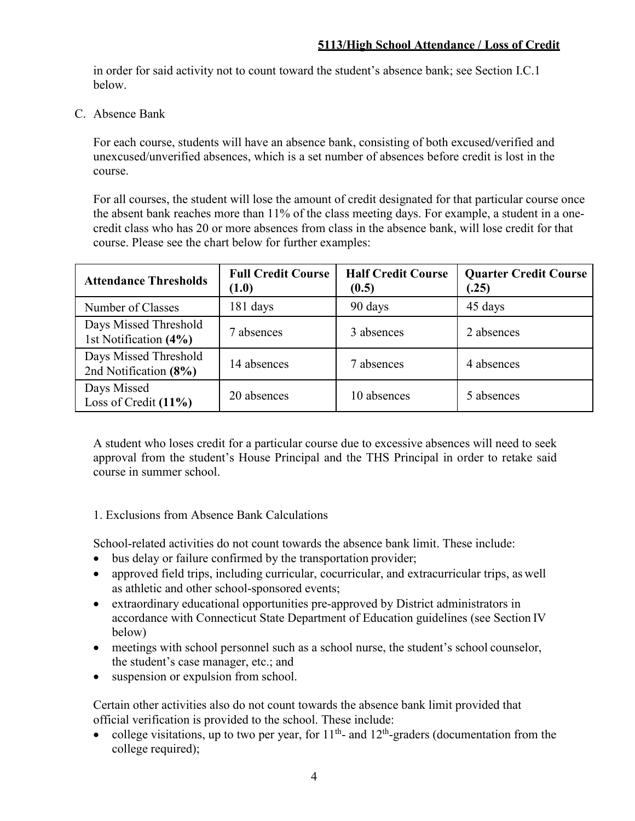in order for said activity not to count toward the student's absence bank; see Section I.C.1 below.

C. Absence Bank

For each course, students will have an absence bank, consisting of both excused**/**verified and unexcused/unverified absences, which is a set number of absences before credit is lost in the course.

For all courses, the student will lose the amount of credit designated for that particular course once the absent bank reaches more than 11% of the class meeting days. For example, a student in a onecredit class who has 20 or more absences from class in the absence bank, will lose credit for that course. Please see the chart below for further examples:

| <b>Attendance Thresholds</b>                   | <b>Full Credit Course</b><br>(1.0) | <b>Half Credit Course</b><br>(0.5) | <b>Quarter Credit Course</b><br>(.25) |
|------------------------------------------------|------------------------------------|------------------------------------|---------------------------------------|
| Number of Classes                              | 181 days                           | 90 days                            | 45 days                               |
| Days Missed Threshold<br>1st Notification (4%) | 7 absences                         | 3 absences                         | 2 absences                            |
| Days Missed Threshold<br>2nd Notification (8%) | 14 absences                        | 7 absences                         | 4 absences                            |
| Days Missed<br>Loss of Credit $(11\%)$         | 20 absences                        | 10 absences                        | 5 absences                            |

A student who loses credit for a particular course due to excessive absences will need to seek approval from the student's House Principal and the THS Principal in order to retake said course in summer school.

1. Exclusions from Absence Bank Calculations

School-related activities do not count towards the absence bank limit. These include:

- bus delay or failure confirmed by the transportation provider;
- approved field trips, including curricular, cocurricular, and extracurricular trips, as well as athletic and other school-sponsored events;
- extraordinary educational opportunities pre-approved by District administrators in accordance with Connecticut State Department of Education guidelines (see Section IV below)
- meetings with school personnel such as a school nurse, the student's school counselor, the student's case manager, etc.; and
- suspension or expulsion from school.

Certain other activities also do not count towards the absence bank limit provided that official verification is provided to the school. These include:

• college visitations, up to two per year, for  $11<sup>th</sup>$  and  $12<sup>th</sup>$ -graders (documentation from the college required);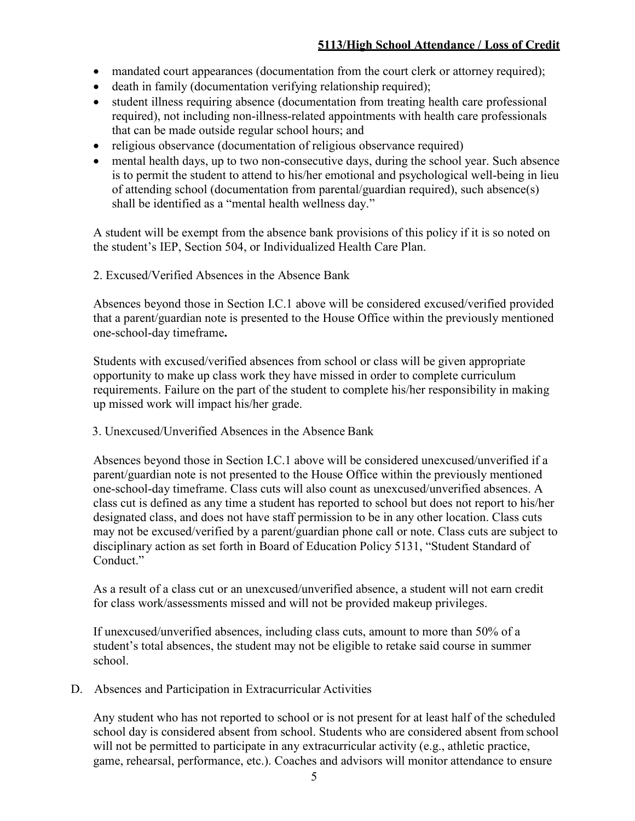- mandated court appearances (documentation from the court clerk or attorney required);
- death in family (documentation verifying relationship required);
- student illness requiring absence (documentation from treating health care professional required), not including non-illness-related appointments with health care professionals that can be made outside regular school hours; and
- religious observance (documentation of religious observance required)
- mental health days, up to two non-consecutive days, during the school year. Such absence is to permit the student to attend to his/her emotional and psychological well-being in lieu of attending school (documentation from parental/guardian required), such absence(s) shall be identified as a "mental health wellness day."

A student will be exempt from the absence bank provisions of this policy if it is so noted on the student's IEP, Section 504, or Individualized Health Care Plan.

2. Excused/Verified Absences in the Absence Bank

Absences beyond those in Section I.C.1 above will be considered excused/verified provided that a parent/guardian note is presented to the House Office within the previously mentioned one-school-day timeframe**.**

Students with excused/verified absences from school or class will be given appropriate opportunity to make up class work they have missed in order to complete curriculum requirements. Failure on the part of the student to complete his/her responsibility in making up missed work will impact his/her grade.

3. Unexcused/Unverified Absences in the Absence Bank

Absences beyond those in Section I.C.1 above will be considered unexcused/unverified if a parent/guardian note is not presented to the House Office within the previously mentioned one-school-day timeframe. Class cuts will also count as unexcused/unverified absences. A class cut is defined as any time a student has reported to school but does not report to his/her designated class, and does not have staff permission to be in any other location. Class cuts may not be excused/verified by a parent/guardian phone call or note. Class cuts are subject to disciplinary action as set forth in Board of Education Policy 5131, "Student Standard of Conduct."

As a result of a class cut or an unexcused/unverified absence, a student will not earn credit for class work/assessments missed and will not be provided makeup privileges.

If unexcused/unverified absences, including class cuts, amount to more than 50% of a student's total absences, the student may not be eligible to retake said course in summer school.

D. Absences and Participation in Extracurricular Activities

Any student who has not reported to school or is not present for at least half of the scheduled school day is considered absent from school. Students who are considered absent from school will not be permitted to participate in any extracurricular activity (e.g., athletic practice, game, rehearsal, performance, etc.). Coaches and advisors will monitor attendance to ensure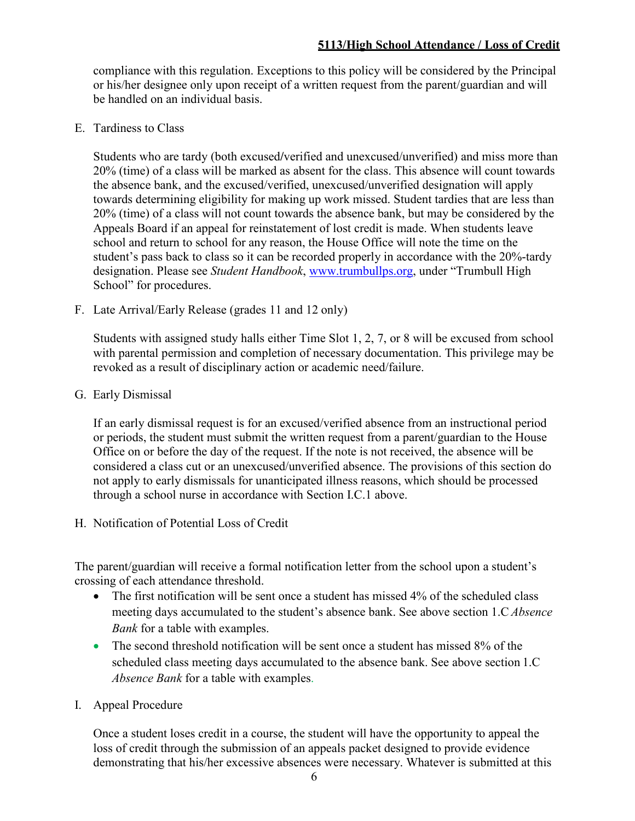compliance with this regulation. Exceptions to this policy will be considered by the Principal or his/her designee only upon receipt of a written request from the parent/guardian and will be handled on an individual basis.

E. Tardiness to Class

Students who are tardy (both excused**/**verified and unexcused/unverified) and miss more than 20% (time) of a class will be marked as absent for the class. This absence will count towards the absence bank, and the excused/verified, unexcused/unverified designation will apply towards determining eligibility for making up work missed. Student tardies that are less than 20% (time) of a class will not count towards the absence bank, but may be considered by the Appeals Board if an appeal for reinstatement of lost credit is made. When students leave school and return to school for any reason, the House Office will note the time on the student's pass back to class so it can be recorded properly in accordance with the 20%-tardy designation. Please see *Student Handbook*, [www.trumbullps.org,](http://www.trumbullps.org/) under "Trumbull High School" for procedures.

F. Late Arrival/Early Release (grades 11 and 12 only)

Students with assigned study halls either Time Slot 1, 2, 7, or 8 will be excused from school with parental permission and completion of necessary documentation. This privilege may be revoked as a result of disciplinary action or academic need/failure.

G. Early Dismissal

If an early dismissal request is for an excused/verified absence from an instructional period or periods, the student must submit the written request from a parent/guardian to the House Office on or before the day of the request. If the note is not received, the absence will be considered a class cut or an unexcused/unverified absence. The provisions of this section do not apply to early dismissals for unanticipated illness reasons, which should be processed through a school nurse in accordance with Section I.C.1 above.

H. Notification of Potential Loss of Credit

The parent/guardian will receive a formal notification letter from the school upon a student's crossing of each attendance threshold.

- The first notification will be sent once a student has missed 4% of the scheduled class meeting days accumulated to the student's absence bank. See above section 1.C *Absence Bank* for a table with examples.
- The second threshold notification will be sent once a student has missed 8% of the scheduled class meeting days accumulated to the absence bank. See above section 1.C *Absence Bank* for a table with examples.
- I. Appeal Procedure

Once a student loses credit in a course, the student will have the opportunity to appeal the loss of credit through the submission of an appeals packet designed to provide evidence demonstrating that his/her excessive absences were necessary. Whatever is submitted at this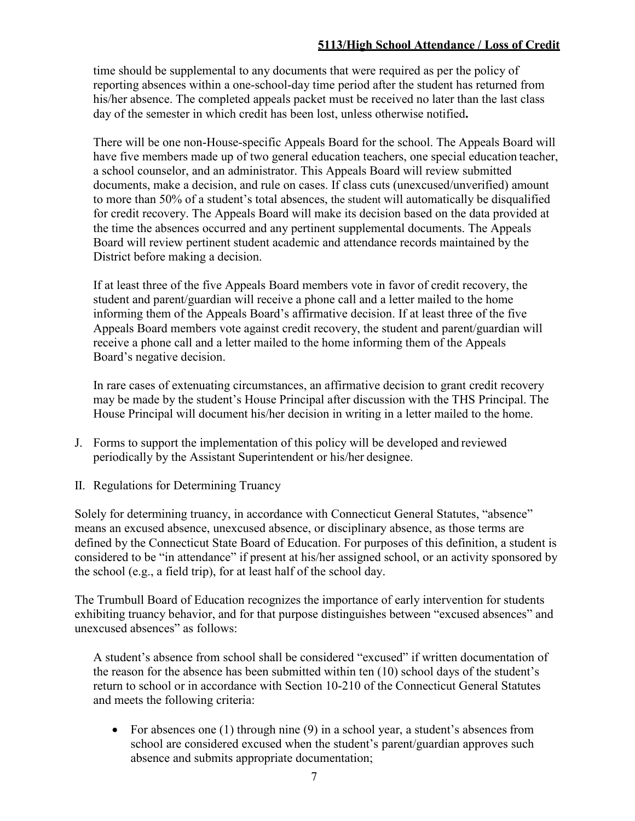#### **5113/High School Attendance / Loss of Credit**

time should be supplemental to any documents that were required as per the policy of reporting absences within a one-school-day time period after the student has returned from his/her absence. The completed appeals packet must be received no later than the last class day of the semester in which credit has been lost, unless otherwise notified**.**

There will be one non-House-specific Appeals Board for the school. The Appeals Board will have five members made up of two general education teachers, one special education teacher, a school counselor, and an administrator. This Appeals Board will review submitted documents, make a decision, and rule on cases. If class cuts (unexcused/unverified) amount to more than 50% of a student's total absences, the student will automatically be disqualified for credit recovery. The Appeals Board will make its decision based on the data provided at the time the absences occurred and any pertinent supplemental documents. The Appeals Board will review pertinent student academic and attendance records maintained by the District before making a decision.

If at least three of the five Appeals Board members vote in favor of credit recovery, the student and parent/guardian will receive a phone call and a letter mailed to the home informing them of the Appeals Board's affirmative decision. If at least three of the five Appeals Board members vote against credit recovery, the student and parent/guardian will receive a phone call and a letter mailed to the home informing them of the Appeals Board's negative decision.

In rare cases of extenuating circumstances, an affirmative decision to grant credit recovery may be made by the student's House Principal after discussion with the THS Principal. The House Principal will document his/her decision in writing in a letter mailed to the home.

- J. Forms to support the implementation of this policy will be developed and reviewed periodically by the Assistant Superintendent or his/her designee.
- II. Regulations for Determining Truancy

Solely for determining truancy, in accordance with Connecticut General Statutes, "absence" means an excused absence, unexcused absence, or disciplinary absence, as those terms are defined by the Connecticut State Board of Education. For purposes of this definition, a student is considered to be "in attendance" if present at his/her assigned school, or an activity sponsored by the school (e.g., a field trip), for at least half of the school day.

The Trumbull Board of Education recognizes the importance of early intervention for students exhibiting truancy behavior, and for that purpose distinguishes between "excused absences" and unexcused absences" as follows:

A student's absence from school shall be considered "excused" if written documentation of the reason for the absence has been submitted within ten (10) school days of the student's return to school or in accordance with Section 10-210 of the Connecticut General Statutes and meets the following criteria:

• For absences one (1) through nine  $(9)$  in a school year, a student's absences from school are considered excused when the student's parent/guardian approves such absence and submits appropriate documentation;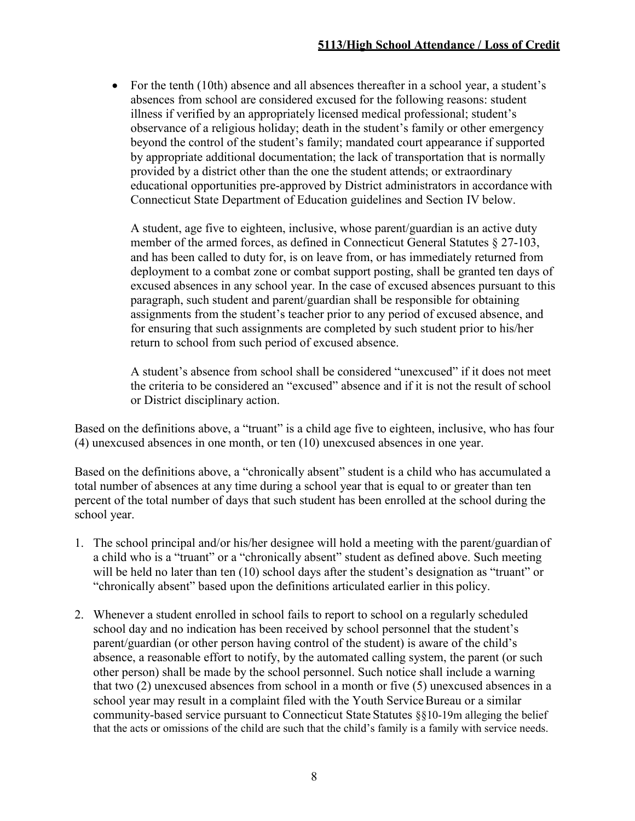• For the tenth (10th) absence and all absences thereafter in a school year, a student's absences from school are considered excused for the following reasons: student illness if verified by an appropriately licensed medical professional; student's observance of a religious holiday; death in the student's family or other emergency beyond the control of the student's family; mandated court appearance if supported by appropriate additional documentation; the lack of transportation that is normally provided by a district other than the one the student attends; or extraordinary educational opportunities pre-approved by District administrators in accordance with Connecticut State Department of Education guidelines and Section IV below.

A student, age five to eighteen, inclusive, whose parent/guardian is an active duty member of the armed forces, as defined in Connecticut General Statutes § 27-103, and has been called to duty for, is on leave from, or has immediately returned from deployment to a combat zone or combat support posting, shall be granted ten days of excused absences in any school year. In the case of excused absences pursuant to this paragraph, such student and parent/guardian shall be responsible for obtaining assignments from the student's teacher prior to any period of excused absence, and for ensuring that such assignments are completed by such student prior to his/her return to school from such period of excused absence.

A student's absence from school shall be considered "unexcused" if it does not meet the criteria to be considered an "excused" absence and if it is not the result of school or District disciplinary action.

Based on the definitions above, a "truant" is a child age five to eighteen, inclusive, who has four (4) unexcused absences in one month, or ten (10) unexcused absences in one year.

Based on the definitions above, a "chronically absent" student is a child who has accumulated a total number of absences at any time during a school year that is equal to or greater than ten percent of the total number of days that such student has been enrolled at the school during the school year.

- 1. The school principal and/or his/her designee will hold a meeting with the parent/guardian of a child who is a "truant" or a "chronically absent" student as defined above. Such meeting will be held no later than ten (10) school days after the student's designation as "truant" or "chronically absent" based upon the definitions articulated earlier in this policy.
- 2. Whenever a student enrolled in school fails to report to school on a regularly scheduled school day and no indication has been received by school personnel that the student's parent/guardian (or other person having control of the student) is aware of the child's absence, a reasonable effort to notify, by the automated calling system, the parent (or such other person) shall be made by the school personnel. Such notice shall include a warning that two (2) unexcused absences from school in a month or five (5) unexcused absences in a school year may result in a complaint filed with the Youth Service Bureau or a similar community-based service pursuant to Connecticut State Statutes §§10-19m alleging the belief that the acts or omissions of the child are such that the child's family is a family with service needs.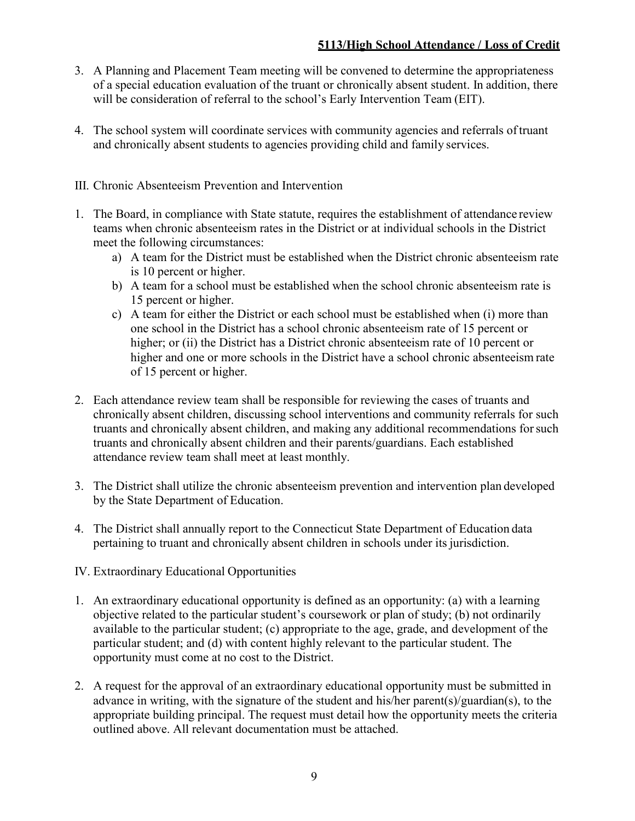- 3. A Planning and Placement Team meeting will be convened to determine the appropriateness of a special education evaluation of the truant or chronically absent student. In addition, there will be consideration of referral to the school's Early Intervention Team (EIT).
- 4. The school system will coordinate services with community agencies and referrals oftruant and chronically absent students to agencies providing child and family services.
- III. Chronic Absenteeism Prevention and Intervention
- 1. The Board, in compliance with State statute, requires the establishment of attendance review teams when chronic absenteeism rates in the District or at individual schools in the District meet the following circumstances:
	- a) A team for the District must be established when the District chronic absenteeism rate is 10 percent or higher.
	- b) A team for a school must be established when the school chronic absenteeism rate is 15 percent or higher.
	- c) A team for either the District or each school must be established when (i) more than one school in the District has a school chronic absenteeism rate of 15 percent or higher; or (ii) the District has a District chronic absenteeism rate of 10 percent or higher and one or more schools in the District have a school chronic absenteeism rate of 15 percent or higher.
- 2. Each attendance review team shall be responsible for reviewing the cases of truants and chronically absent children, discussing school interventions and community referrals for such truants and chronically absent children, and making any additional recommendations forsuch truants and chronically absent children and their parents/guardians. Each established attendance review team shall meet at least monthly.
- 3. The District shall utilize the chronic absenteeism prevention and intervention plan developed by the State Department of Education.
- 4. The District shall annually report to the Connecticut State Department of Education data pertaining to truant and chronically absent children in schools under its jurisdiction.
- IV. Extraordinary Educational Opportunities
- 1. An extraordinary educational opportunity is defined as an opportunity: (a) with a learning objective related to the particular student's coursework or plan of study; (b) not ordinarily available to the particular student; (c) appropriate to the age, grade, and development of the particular student; and (d) with content highly relevant to the particular student. The opportunity must come at no cost to the District.
- 2. A request for the approval of an extraordinary educational opportunity must be submitted in advance in writing, with the signature of the student and his/her parent(s)/guardian(s), to the appropriate building principal. The request must detail how the opportunity meets the criteria outlined above. All relevant documentation must be attached.